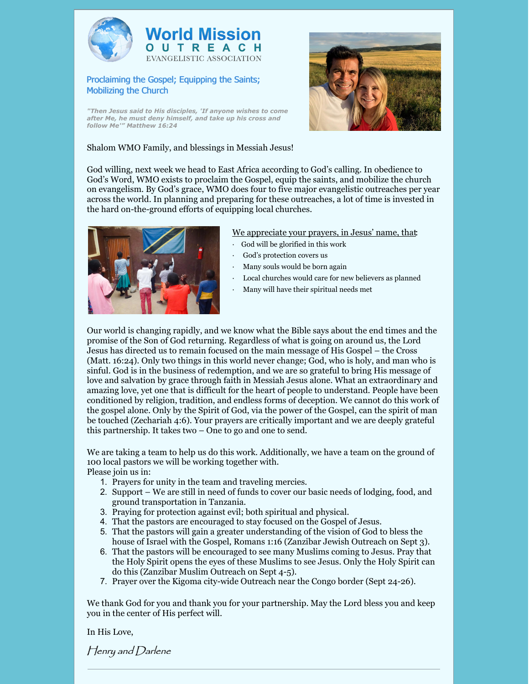



## Proclaiming the Gospel; Equipping the Saints; Mobilizing the Church

*"Then Jesus said to His disciples, 'If anyone wishes to come after Me, he must deny himself, and take up his cross and follow Me'" Matthew 16:24*



## Shalom WMO Family, and blessings in Messiah Jesus!

God willing, next week we head to East Africa according to God's calling. In obedience to God's Word, WMO exists to proclaim the Gospel, equip the saints, and mobilize the church on evangelism. By God's grace, WMO does four to five major evangelistic outreaches per year across the world. In planning and preparing for these outreaches, a lot of time is invested in the hard on-the-ground efforts of equipping local churches.



We appreciate your prayers, in Jesus' name, that:

- God will be glorified in this work
- God's protection covers us
- · Many souls would be born again
- Local churches would care for new believers as planned
- · Many will have their spiritual needs met

Our world is changing rapidly, and we know what the Bible says about the end times and the promise of the Son of God returning. Regardless of what is going on around us, the Lord Jesus has directed us to remain focused on the main message of His Gospel – the Cross (Matt. 16:24). Only two things in this world never change; God, who is holy, and man who is sinful. God is in the business of redemption, and we are so grateful to bring His message of love and salvation by grace through faith in Messiah Jesus alone. What an extraordinary and amazing love, yet one that is difficult for the heart of people to understand. People have been conditioned by religion, tradition, and endless forms of deception. We cannot do this work of the gospel alone. Only by the Spirit of God, via the power of the Gospel, can the spirit of man be touched (Zechariah 4:6). Your prayers are critically important and we are deeply grateful this partnership. It takes two – One to go and one to send.

We are taking a team to help us do this work. Additionally, we have a team on the ground of 100 local pastors we will be working together with. Please join us in:

- 1. Prayers for unity in the team and traveling mercies.
- 2. Support We are still in need of funds to cover our basic needs of lodging, food, and ground transportation in Tanzania.
- 3. Praying for protection against evil; both spiritual and physical.
- 4. That the pastors are encouraged to stay focused on the Gospel of Jesus.
- 5. That the pastors will gain a greater understanding of the vision of God to bless the house of Israel with the Gospel, Romans 1:16 (Zanzibar Jewish Outreach on Sept 3).
- 6. That the pastors will be encouraged to see many Muslims coming to Jesus. Pray that the Holy Spirit opens the eyes of these Muslims to see Jesus. Only the Holy Spirit can do this (Zanzibar Muslim Outreach on Sept 4-5).
- 7. Prayer over the Kigoma city-wide Outreach near the Congo border (Sept 24-26).

We thank God for you and thank you for your partnership. May the Lord bless you and keep you in the center of His perfect will.

In His Love,

Henry and Darlene